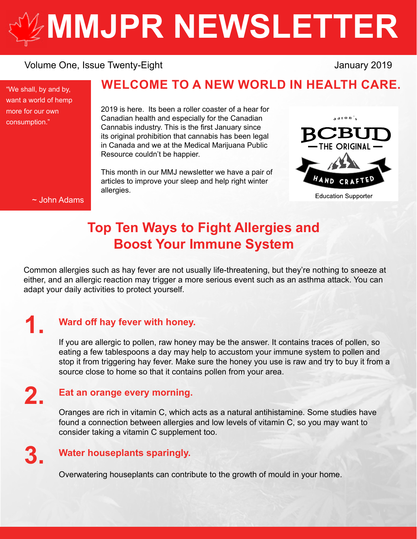# **[MMJPR NEWSLETTER](http://mmjpr.ca)**

# Volume One, Issue Twenty-Eight January 2019

"We shall, by and by, want a world of hemp more for our own consumption."

# **WELCOME TO A NEW WORLD IN HEALTH CARE.**

2019 is here. Its been a roller coaster of a hear for Canadian health and especially for the Canadian Cannabis industry. This is the first January since its original prohibition that cannabis has been legal in Canada and we at the Medical Marijuana Public Resource couldn't be happier.

This month in our MMJ newsletter we have a pair of articles to improve your sleep and help right winter allergies.



**Education Supporter** 

#### ~ John Adams

# **Top Ten Ways to Fight Allergies and Boost Your Immune System**

Common allergies such as hay fever are not usually life-threatening, but they're nothing to sneeze at either, and an allergic reaction may trigger a more serious event such as an asthma attack. You can adapt your daily activities to protect yourself.

# **1.**

# **Ward off hay fever with honey.**

If you are allergic to pollen, raw honey may be the answer. It contains traces of pollen, so eating a few tablespoons a day may help to accustom your immune system to pollen and stop it from triggering hay fever. Make sure the honey you use is raw and try to buy it from a source close to home so that it contains pollen from your area.

# **2.**

#### **Eat an orange every morning.**

Oranges are rich in vitamin C, which acts as a natural antihistamine. Some studies have found a connection between allergies and low levels of vitamin C, so you may want to consider taking a vitamin C supplement too.

# **3.**

# **Water houseplants sparingly.**

Overwatering houseplants can contribute to the growth of mould in your home.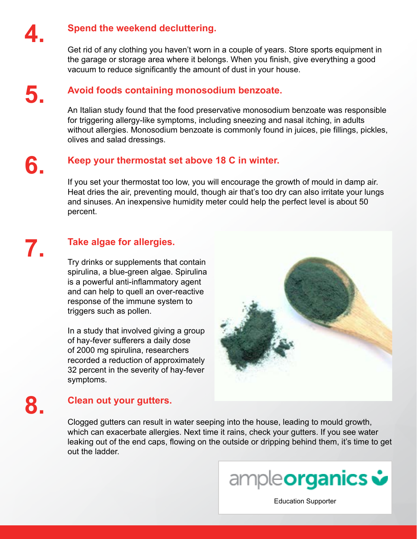

#### **Spend the weekend decluttering.**

Get rid of any clothing you haven't worn in a couple of years. Store sports equipment in the garage or storage area where it belongs. When you finish, give everything a good vacuum to reduce significantly the amount of dust in your house.

# **5.**

**6.**

#### **Avoid foods containing monosodium benzoate.**

An Italian study found that the food preservative monosodium benzoate was responsible for triggering allergy-like symptoms, including sneezing and nasal itching, in adults without allergies. Monosodium benzoate is commonly found in juices, pie fillings, pickles, olives and salad dressings.

### **Keep your thermostat set above 18 C in winter.**

If you set your thermostat too low, you will encourage the growth of mould in damp air. Heat dries the air, preventing mould, though air that's too dry can also irritate your lungs and sinuses. An inexpensive humidity meter could help the perfect level is about 50 percent.

# **7.**

# **Take algae for allergies.**

Try drinks or supplements that contain spirulina, a blue-green algae. Spirulina is a powerful anti-inflammatory agent and can help to quell an over-reactive response of the immune system to triggers such as pollen.

In a study that involved giving a group of hay-fever sufferers a daily dose of 2000 mg spirulina, researchers recorded a reduction of approximately 32 percent in the severity of hay-fever symptoms.



# **8.**

# **Clean out your gutters.**

Clogged gutters can result in water seeping into the house, leading to mould growth, which can exacerbate allergies. Next time it rains, check your gutters. If you see water leaking out of the end caps, flowing on the outside or dripping behind them, it's time to get out the ladder.



[Education Supporter](https://ampleorganics.com/)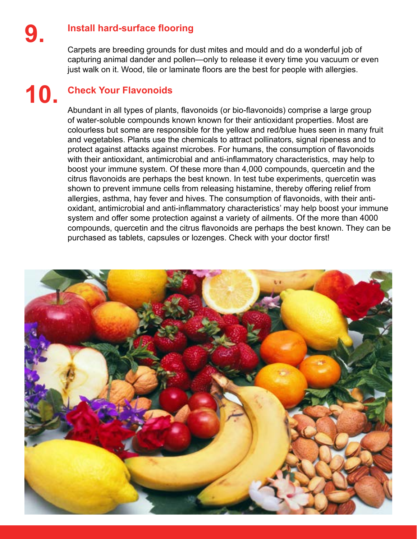# **Install hard-surface flooring**

Carpets are breeding grounds for dust mites and mould and do a wonderful job of capturing animal dander and pollen—only to release it every time you vacuum or even just walk on it. Wood, tile or laminate floors are the best for people with allergies.

# **10.**

# **Check Your Flavonoids**

Abundant in all types of plants, flavonoids (or bio-flavonoids) comprise a large group of water-soluble compounds known known for their antioxidant properties. Most are colourless but some are responsible for the yellow and red/blue hues seen in many fruit and vegetables. Plants use the chemicals to attract pollinators, signal ripeness and to protect against attacks against microbes. For humans, the consumption of flavonoids with their antioxidant, antimicrobial and anti-inflammatory characteristics, may help to boost your immune system. Of these more than 4,000 compounds, quercetin and the citrus flavonoids are perhaps the best known. In test tube experiments, quercetin was shown to prevent immune cells from releasing histamine, thereby offering relief from allergies, asthma, hay fever and hives. The consumption of flavonoids, with their antioxidant, antimicrobial and anti-inflammatory characteristics' may help boost your immune system and offer some protection against a variety of ailments. Of the more than 4000 compounds, quercetin and the citrus flavonoids are perhaps the best known. They can be purchased as tablets, capsules or lozenges. Check with your doctor first!

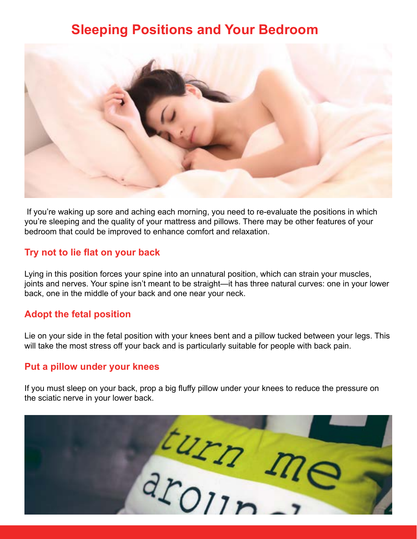# **Sleeping Positions and Your Bedroom**



 If you're waking up sore and aching each morning, you need to re-evaluate the positions in which you're sleeping and the quality of your mattress and pillows. There may be other features of your bedroom that could be improved to enhance comfort and relaxation.

### **Try not to lie flat on your back**

Lying in this position forces your spine into an unnatural position, which can strain your muscles, joints and nerves. Your spine isn't meant to be straight—it has three natural curves: one in your lower back, one in the middle of your back and one near your neck.

# **Adopt the fetal position**

Lie on your side in the fetal position with your knees bent and a pillow tucked between your legs. This will take the most stress off your back and is particularly suitable for people with back pain.

#### **Put a pillow under your knees**

If you must sleep on your back, prop a big fluffy pillow under your knees to reduce the pressure on the sciatic nerve in your lower back.

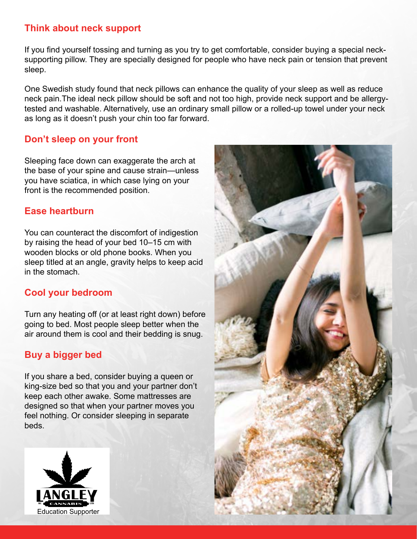# **Think about neck support**

If you find yourself tossing and turning as you try to get comfortable, consider buying a special necksupporting pillow. They are specially designed for people who have neck pain or tension that prevent sleep.

One Swedish study found that neck pillows can enhance the quality of your sleep as well as reduce neck pain.The ideal neck pillow should be soft and not too high, provide neck support and be allergytested and washable. Alternatively, use an ordinary small pillow or a rolled-up towel under your neck as long as it doesn't push your chin too far forward.

# **Don't sleep on your front**

Sleeping face down can exaggerate the arch at the base of your spine and cause strain—unless you have sciatica, in which case lying on your front is the recommended position.

# **Ease heartburn**

You can counteract the discomfort of indigestion by raising the head of your bed 10–15 cm with wooden blocks or old phone books. When you sleep titled at an angle, gravity helps to keep acid in the stomach.

# **Cool your bedroom**

Turn any heating off (or at least right down) before going to bed. Most people sleep better when the air around them is cool and their bedding is snug.

# **Buy a bigger bed**

If you share a bed, consider buying a queen or king-size bed so that you and your partner don't keep each other awake. Some mattresses are designed so that when your partner moves you feel nothing. Or consider sleeping in separate beds.